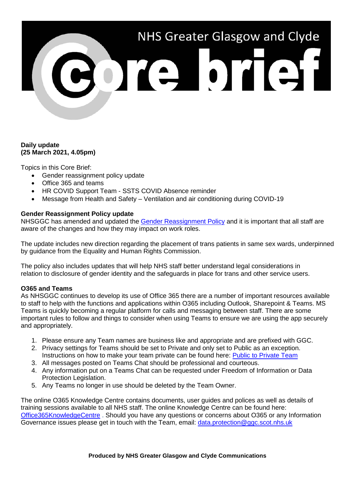# NHS Greater Glasgow and Clyde 3010 0101

## **Daily update (25 March 2021, 4.05pm)**

Topics in this Core Brief:

- Gender reassignment policy update
- Office 365 and teams
- HR COVID Support Team SSTS COVID Absence reminder
- Message from Health and Safety Ventilation and air conditioning during COVID-19

## **Gender Reassignment Policy update**

NHSGGC has amended and updated the [Gender Reassignment Policy](https://www.nhsggc.org.uk/media/265856/gender-reassignment-policy-review-2021-revised.pdf) and it is important that all staff are aware of the changes and how they may impact on work roles.

The update includes new direction regarding the placement of trans patients in same sex wards, underpinned by guidance from the Equality and Human Rights Commission.

The policy also includes updates that will help NHS staff better understand legal considerations in relation to disclosure of gender identity and the safeguards in place for trans and other service users.

### **O365 and Teams**

As NHSGGC continues to develop its use of Office 365 there are a number of important resources available to staff to help with the functions and applications within O365 including Outlook, Sharepoint & Teams. MS Teams is quickly becoming a regular platform for calls and messaging between staff. There are some important rules to follow and things to consider when using Teams to ensure we are using the app securely and appropriately.

- 1. Please ensure any Team names are business like and appropriate and are prefixed with GGC.
- 2. Privacy settings for Teams should be set to Private and only set to Public as an exception. Instructions on how to make your team private can be found here: [Public to Private Team](https://teams.microsoft.com/l/file/6983EDF5-561F-48E5-8F48-0339BE6BB74F?tenantId=10efe0bd-a030-4bca-809c-b5e6745e499a&fileType=pdf&objectUrl=https%3A%2F%2Fscottish.sharepoint.com%2Fsites%2FOffice365Champions%2FShared%20Documents%2F3%20%F0%9F%93%9AResources%2FGuidance%2FNHSScotland%20Guidance%20on%20Private%20%26%20Public%20Teams.pdf&baseUrl=https%3A%2F%2Fscottish.sharepoint.com%2Fsites%2FOffice365Champions&serviceName=teams&threadId=19:2b9d41cd7a5049c899445efce4740014@thread.skype&groupId=b5034c8b-67e2-4c0f-b6fa-6bf5a8654971)
- 3. All messages posted on Teams Chat should be professional and courteous.
- 4. Any information put on a Teams Chat can be requested under Freedom of Information or Data Protection Legislation.
- 5. Any Teams no longer in use should be deleted by the Team Owner.

The online O365 Knowledge Centre contains documents, user guides and polices as well as details of training sessions available to all NHS staff. The online Knowledge Centre can be found here: [Office365KnowledgeCentre](https://scottish.sharepoint.com/sites/GGC-Office365KnowledgeCentre) . Should you have any questions or concerns about O365 or any Information Governance issues please get in touch with the Team, email: [data.protection@ggc.scot.nhs.uk](mailto:data.protection@ggc.scot.nhs.uk)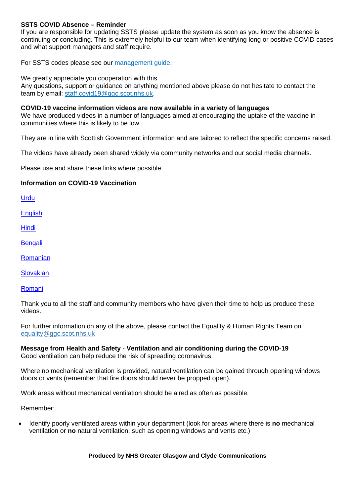# **SSTS COVID Absence – Reminder**

If you are responsible for updating SSTS please update the system as soon as you know the absence is continuing or concluding. This is extremely helpful to our team when identifying long or positive COVID cases and what support managers and staff require.

For SSTS codes please see our [management guide.](https://www.nhsggc.org.uk/media/264670/management-quick-guide.pdf)

We greatly appreciate you cooperation with this.

Any questions, support or guidance on anything mentioned above please do not hesitate to contact the team by email: [staff.covid19@ggc.scot.nhs.uk.](mailto:staff.covid19@ggc.scot.nhs.uk)

#### **COVID-19 vaccine information videos are now available in a variety of languages**

We have produced videos in a number of languages aimed at encouraging the uptake of the vaccine in communities where this is likely to be low.

They are in line with Scottish Government information and are tailored to reflect the specific concerns raised.

The videos have already been shared widely via community networks and our social media channels.

Please use and share these links where possible.

#### **Information on COVID-19 Vaccination**

[Urdu](https://www.youtube.com/watch?v=orhfYEvNIg4&list=PLmuRxztsS0NxNMdKUObaiYkPJ9igb4ymY&index=1)

**[English](https://www.youtube.com/watch?v=Bzv2IkKX0X4&list=PLmuRxztsS0NymmhnDGPnln3qQraet4XRW&index=1)** 

[Hindi](https://www.youtube.com/watch?v=iWQUaRVjzPI)

**[Bengali](https://www.youtube.com/watch?v=IaoIuciyoyU)** 

[Romanian](https://www.youtube.com/watch?v=FGOgEj_ktjc&list=PLmuRxztsS0NwZGqUqKsfKRAWGLohO8mWY&index=1)

**[Slovakian](https://www.youtube.com/watch?v=JCaJ2Y8WJKA&list=PLmuRxztsS0NxKIN-ln74dUdTjQ4SSey3b&index=1)** 

[Romani](https://www.youtube.com/watch?v=mV1sIzAgF0U&list=PLmuRxztsS0NzDjdZ1P4GEDcc9j1IB3QPJ&index=1)

Thank you to all the staff and community members who have given their time to help us produce these videos.

For further information on any of the above, please contact the Equality & Human Rights Team on [equality@ggc.scot.nhs.uk](mailto:equality@ggc.scot.nhs.uk)

**Message from Health and Safety - Ventilation and air conditioning during the COVID-19**  Good ventilation can help reduce the risk of spreading coronavirus

Where no mechanical ventilation is provided, natural ventilation can be gained through opening windows doors or vents (remember that fire doors should never be propped open).

Work areas without mechanical ventilation should be aired as often as possible.

Remember:

• Identify poorly ventilated areas within your department (look for areas where there is **no** mechanical ventilation or **no** natural ventilation, such as opening windows and vents etc.)